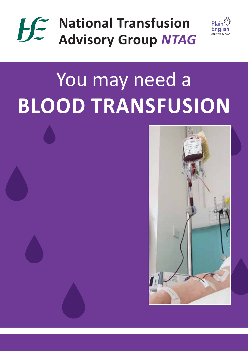# **National Transfusion Advisory Group** *NTAG*



# You may need a **Advisory Group** *NTAG* **BLOOD TRANSFUSION**

Page 1 National Transfusion Advisory Group *NTAG* Version 1, 2021- review date March 2023



Page 1 of 6 National Transfusion Advisory Group *NTAG* Version 1, 2021- review date March 2023

**9.What happens if you refuse a blood transfusion? .................................. 10**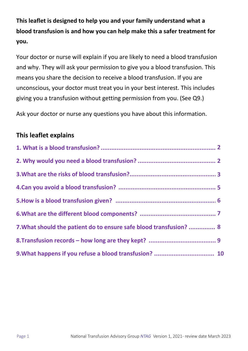**This leaflet is designed to help you and your family understand what a blood transfusion is and how you can help make this a safer treatment for you.** 

Your doctor or nurse will explain if you are likely to need a blood transfusion and why. They will ask your permission to give you a blood transfusion. This means you share the decision to receive a blood transfusion. If you are unconscious, your doctor must treat you in your best interest. This includes giving you a transfusion without getting permission from you. (See Q9.)

Ask your doctor or nurse any questions you have about this information.

#### **This leaflet explains**

| 7. What should the patient do to ensure safe blood transfusion?  8 |  |
|--------------------------------------------------------------------|--|
|                                                                    |  |
|                                                                    |  |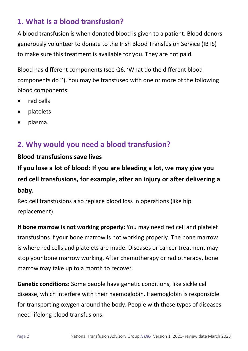# **1. What is a blood transfusion?**

A blood transfusion is when donated blood is given to a patient. Blood donors generously volunteer to donate to the Irish Blood Transfusion Service (IBTS) to make sure this treatment is available for you. They are not paid.

Blood has different components (see Q6. 'What do the different blood components do?'). You may be transfused with one or more of the following blood components:

- red cells
- platelets
- plasma.

# **2. Why would you need a blood transfusion?**

#### **Blood transfusions save lives**

**If you lose a lot of blood: If you are bleeding a lot, we may give you red cell transfusions, for example, after an injury or after delivering a baby.** 

Red cell transfusions also replace blood loss in operations (like hip replacement).

**If bone marrow is not working properly:** You may need red cell and platelet transfusions if your bone marrow is not working properly. The bone marrow is where red cells and platelets are made. Diseases or cancer treatment may stop your bone marrow working. After chemotherapy or radiotherapy, bone marrow may take up to a month to recover.

**Genetic conditions:** Some people have genetic conditions, like sickle cell disease, which interfere with their haemoglobin. Haemoglobin is responsible for transporting oxygen around the body. People with these types of diseases need lifelong blood transfusions.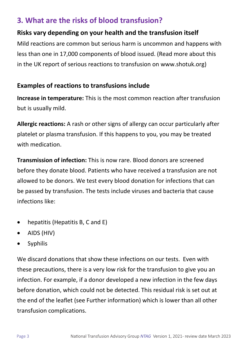# **3. What are the risks of blood transfusion?**

#### **Risks vary depending on your health and the transfusion itself**

Mild reactions are common but serious harm is uncommon and happens with less than one in 17,000 components of blood issued. (Read more about this in the UK report of serious reactions to transfusion on www.shotuk.org)

#### **Examples of reactions to transfusions include**

**Increase in temperature:** This is the most common reaction after transfusion but is usually mild.

**Allergic reactions:** A rash or other signs of allergy can occur particularly after platelet or plasma transfusion. If this happens to you, you may be treated with medication.

**Transmission of infection:** This is now rare. Blood donors are screened before they donate blood. Patients who have received a transfusion are not allowed to be donors. We test every blood donation for infections that can be passed by transfusion. The tests include viruses and bacteria that cause infections like:

- hepatitis (Hepatitis B, C and E)
- $\bullet$  AIDS (HIV)
- Syphilis

We discard donations that show these infections on our tests. Even with these precautions, there is a very low risk for the transfusion to give you an infection. For example, if a donor developed a new infection in the few days before donation, which could not be detected. This residual risk is set out at the end of the leaflet (see Further information) which is lower than all other transfusion complications.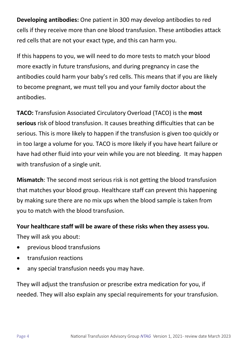**Developing antibodies:** One patient in 300 may develop antibodies to red cells if they receive more than one blood transfusion. These antibodies attack red cells that are not your exact type, and this can harm you.

If this happens to you, we will need to do more tests to match your blood more exactly in future transfusions, and during pregnancy in case the antibodies could harm your baby's red cells. This means that if you are likely to become pregnant, we must tell you and your family doctor about the antibodies.

**TACO:** Transfusion Associated Circulatory Overload (TACO) is the **most serious** risk of blood transfusion. It causes breathing difficulties that can be serious. This is more likely to happen if the transfusion is given too quickly or in too large a volume for you. TACO is more likely if you have heart failure or have had other fluid into your vein while you are not bleeding. It may happen with transfusion of a single unit.

**Mismatch**: The second most serious risk is not getting the blood transfusion that matches your blood group. Healthcare staff can prevent this happening by making sure there are no mix ups when the blood sample is taken from you to match with the blood transfusion.

**Your healthcare staff will be aware of these risks when they assess you.**

They will ask you about:

- previous blood transfusions
- transfusion reactions
- any special transfusion needs you may have.

They will adjust the transfusion or prescribe extra medication for you, if needed. They will also explain any special requirements for your transfusion.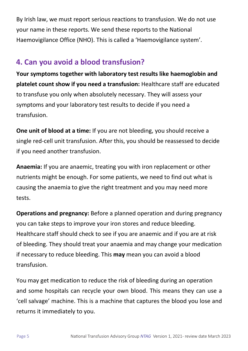By Irish law, we must report serious reactions to transfusion. We do not use your name in these reports. We send these reports to the National Haemovigilance Office (NHO). This is called a 'Haemovigilance system'.

# **4. Can you avoid a blood transfusion?**

**Your symptoms together with laboratory test results like haemoglobin and platelet count show if you need a transfusion:** Healthcare staff are educated to transfuse you only when absolutely necessary. They will assess your symptoms and your laboratory test results to decide if you need a transfusion.

**One unit of blood at a time:** If you are not bleeding, you should receive a single red-cell unit transfusion. After this, you should be reassessed to decide if you need another transfusion.

**Anaemia:** If you are anaemic, treating you with iron replacement or other nutrients might be enough. For some patients, we need to find out what is causing the anaemia to give the right treatment and you may need more tests.

**Operations and pregnancy:** Before a planned operation and during pregnancy you can take steps to improve your iron stores and reduce bleeding. Healthcare staff should check to see if you are anaemic and if you are at risk of bleeding. They should treat your anaemia and may change your medication if necessary to reduce bleeding. This **may** mean you can avoid a blood transfusion.

You may get medication to reduce the risk of bleeding during an operation and some hospitals can recycle your own blood. This means they can use a 'cell salvage' machine. This is a machine that captures the blood you lose and returns it immediately to you.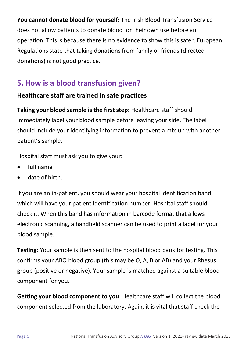**You cannot donate blood for yourself:** The Irish Blood Transfusion Service does not allow patients to donate blood for their own use before an operation. This is because there is no evidence to show this is safer. European Regulations state that taking donations from family or friends (directed donations) is not good practice.

# **5. How is a blood transfusion given?**

#### **Healthcare staff are trained in safe practices**

**Taking your blood sample is the first step:** Healthcare staff should immediately label your blood sample before leaving your side. The label should include your identifying information to prevent a mix-up with another patient's sample.

Hospital staff must ask you to give your:

- full name
- date of birth.

If you are an in-patient, you should wear your hospital identification band, which will have your patient identification number. Hospital staff should check it. When this band has information in barcode format that allows electronic scanning, a handheld scanner can be used to print a label for your blood sample.

**Testing**: Your sample is then sent to the hospital blood bank for testing. This confirms your ABO blood group (this may be O, A, B or AB) and your Rhesus group (positive or negative). Your sample is matched against a suitable blood component for you.

**Getting your blood component to you**: Healthcare staff will collect the blood component selected from the laboratory. Again, it is vital that staff check the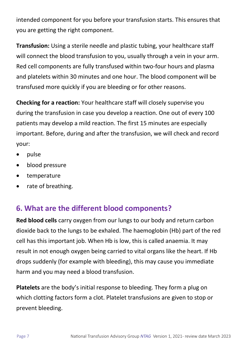intended component for you before your transfusion starts. This ensures that you are getting the right component.

**Transfusion:** Using a sterile needle and plastic tubing, your healthcare staff will connect the blood transfusion to you, usually through a vein in your arm. Red cell components are fully transfused within two-four hours and plasma and platelets within 30 minutes and one hour. The blood component will be transfused more quickly if you are bleeding or for other reasons.

**Checking for a reaction:** Your healthcare staff will closely supervise you during the transfusion in case you develop a reaction. One out of every 100 patients may develop a mild reaction. The first 15 minutes are especially important. Before, during and after the transfusion, we will check and record your:

- pulse
- blood pressure
- temperature
- rate of breathing.

# **6. What are the different blood components?**

**Red blood cells** carry oxygen from our lungs to our body and return carbon dioxide back to the lungs to be exhaled. The haemoglobin (Hb) part of the red cell has this important job. When Hb is low, this is called anaemia. It may result in not enough oxygen being carried to vital organs like the heart. If Hb drops suddenly (for example with bleeding), this may cause you immediate harm and you may need a blood transfusion.

**Platelets** are the body's initial response to bleeding. They form a plug on which clotting factors form a clot. Platelet transfusions are given to stop or prevent bleeding.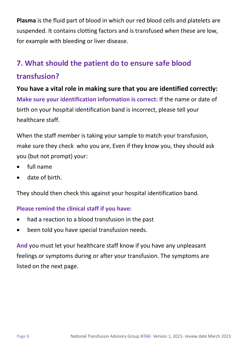**Plasma** is the fluid part of blood in which our red blood cells and platelets are suspended. It contains clotting factors and is transfused when these are low, for example with bleeding or liver disease.

# **7. What should the patient do to ensure safe blood transfusion?**

**You have a vital role in making sure that you are identified correctly: Make sure your identification information is correct:** If the name or date of birth on your hospital identification band is incorrect, please tell your healthcare staff.

When the staff member is taking your sample to match your transfusion, make sure they check who you are, Even if they know you, they should ask you (but not prompt) your:

- full name
- date of birth.

They should then check this against your hospital identification band.

#### **Please remind the clinical staff if you have:**

- had a reaction to a blood transfusion in the past
- been told you have special transfusion needs.

**And** you must let your healthcare staff know if you have any unpleasant feelings or symptoms during or after your transfusion. The symptoms are listed on the next page.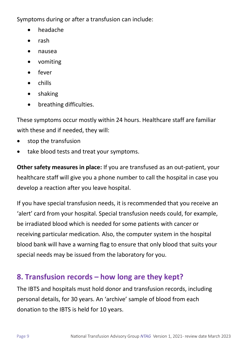Symptoms during or after a transfusion can include:

- headache
- rash
- nausea
- vomiting
- fever
- chills
- shaking
- breathing difficulties.

These symptoms occur mostly within 24 hours. Healthcare staff are familiar with these and if needed, they will:

- stop the transfusion
- take blood tests and treat your symptoms.

**Other safety measures in place:** If you are transfused as an out-patient, your healthcare staff will give you a phone number to call the hospital in case you develop a reaction after you leave hospital.

If you have special transfusion needs, it is recommended that you receive an 'alert' card from your hospital. Special transfusion needs could, for example, be irradiated blood which is needed for some patients with cancer or receiving particular medication. Also, the computer system in the hospital blood bank will have a warning flag to ensure that only blood that suits your special needs may be issued from the laboratory for you.

# **8. Transfusion records – how long are they kept?**

The IBTS and hospitals must hold donor and transfusion records, including personal details, for 30 years. An 'archive' sample of blood from each donation to the IBTS is held for 10 years.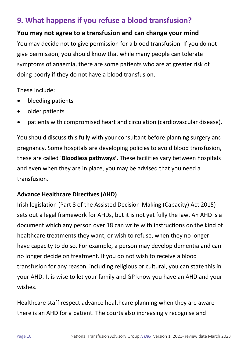# **9. What happens if you refuse a blood transfusion?**

#### **You may not agree to a transfusion and can change your mind**

You may decide not to give permission for a blood transfusion. If you do not give permission, you should know that while many people can tolerate symptoms of anaemia, there are some patients who are at greater risk of doing poorly if they do not have a blood transfusion.

These include:

- bleeding patients
- older patients
- patients with compromised heart and circulation (cardiovascular disease).

You should discuss this fully with your consultant before planning surgery and pregnancy. Some hospitals are developing policies to avoid blood transfusion, these are called '**Bloodless pathways'**. These facilities vary between hospitals and even when they are in place, you may be advised that you need a transfusion.

#### **Advance Healthcare Directives (AHD)**

Irish legislation (Part 8 of the Assisted Decision-Making (Capacity) Act 2015) sets out a legal framework for AHDs, but it is not yet fully the law. An AHD is a document which any person over 18 can write with instructions on the kind of healthcare treatments they want, or wish to refuse, when they no longer have capacity to do so. For example, a person may develop dementia and can no longer decide on treatment. If you do not wish to receive a blood transfusion for any reason, including religious or cultural, you can state this in your AHD. It is wise to let your family and GP know you have an AHD and your wishes.

Healthcare staff respect advance healthcare planning when they are aware there is an AHD for a patient. The courts also increasingly recognise and